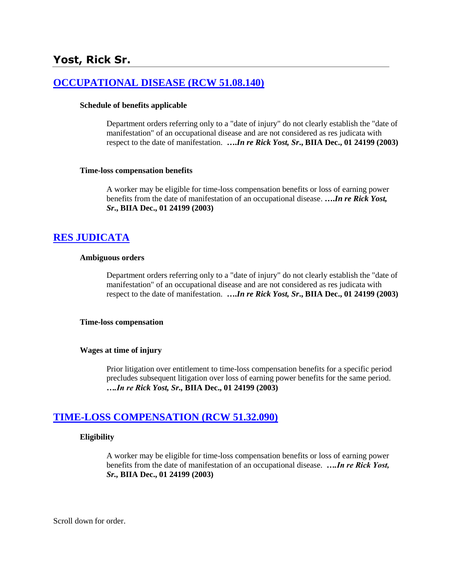## **[OCCUPATIONAL DISEASE \(RCW 51.08.140\)](http://www.biia.wa.gov/SDSubjectIndex.html#OCCUPATIONAL_DISEASE)**

#### **Schedule of benefits applicable**

Department orders referring only to a "date of injury" do not clearly establish the "date of manifestation" of an occupational disease and are not considered as res judicata with respect to the date of manifestation. **….***In re Rick Yost, Sr***., BIIA Dec., 01 24199 (2003)** 

#### **Time-loss compensation benefits**

A worker may be eligible for time-loss compensation benefits or loss of earning power benefits from the date of manifestation of an occupational disease. **….***In re Rick Yost, Sr***., BIIA Dec., 01 24199 (2003)**

# **[RES JUDICATA](http://www.biia.wa.gov/SDSubjectIndex.html#RES_JUDICATA)**

#### **Ambiguous orders**

Department orders referring only to a "date of injury" do not clearly establish the "date of manifestation" of an occupational disease and are not considered as res judicata with respect to the date of manifestation. **….***In re Rick Yost, Sr***., BIIA Dec., 01 24199 (2003)** 

### **Time-loss compensation**

### **Wages at time of injury**

Prior litigation over entitlement to time-loss compensation benefits for a specific period precludes subsequent litigation over loss of earning power benefits for the same period. *….In re Rick Yost, Sr.,* **BIIA Dec., 01 24199 (2003)**

## **[TIME-LOSS COMPENSATION \(RCW 51.32.090\)](http://www.biia.wa.gov/SDSubjectIndex.html#TIME_LOSS_COMPENSATION)**

### **Eligibility**

A worker may be eligible for time-loss compensation benefits or loss of earning power benefits from the date of manifestation of an occupational disease. *….In re Rick Yost, Sr.,* **BIIA Dec., 01 24199 (2003)**

Scroll down for order.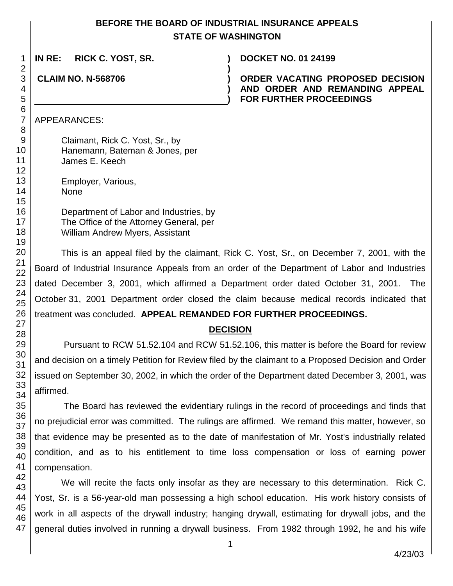# **BEFORE THE BOARD OF INDUSTRIAL INSURANCE APPEALS STATE OF WASHINGTON**

**)**

**) )**

**IN RE: RICK C. YOST, SR. ) DOCKET NO. 01 24199**

**CLAIM NO. N-568706 )**

**ORDER VACATING PROPOSED DECISION AND ORDER AND REMANDING APPEAL FOR FURTHER PROCEEDINGS**

APPEARANCES:

Claimant, Rick C. Yost, Sr., by Hanemann, Bateman & Jones, per James E. Keech

Employer, Various, None

Department of Labor and Industries, by The Office of the Attorney General, per William Andrew Myers, Assistant

This is an appeal filed by the claimant, Rick C. Yost, Sr., on December 7, 2001, with the Board of Industrial Insurance Appeals from an order of the Department of Labor and Industries dated December 3, 2001, which affirmed a Department order dated October 31, 2001. The October 31, 2001 Department order closed the claim because medical records indicated that treatment was concluded. **APPEAL REMANDED FOR FURTHER PROCEEDINGS.**

# **DECISION**

Pursuant to RCW 51.52.104 and RCW 51.52.106, this matter is before the Board for review and decision on a timely Petition for Review filed by the claimant to a Proposed Decision and Order issued on September 30, 2002, in which the order of the Department dated December 3, 2001, was affirmed.

The Board has reviewed the evidentiary rulings in the record of proceedings and finds that no prejudicial error was committed. The rulings are affirmed. We remand this matter, however, so that evidence may be presented as to the date of manifestation of Mr. Yost's industrially related condition, and as to his entitlement to time loss compensation or loss of earning power compensation.

We will recite the facts only insofar as they are necessary to this determination. Rick C. Yost, Sr. is a 56-year-old man possessing a high school education. His work history consists of work in all aspects of the drywall industry; hanging drywall, estimating for drywall jobs, and the general duties involved in running a drywall business. From 1982 through 1992, he and his wife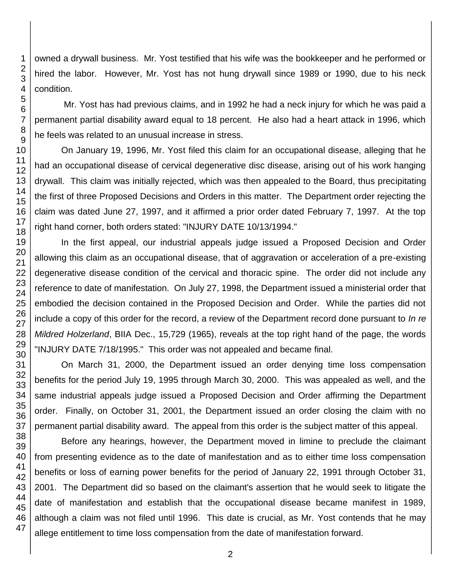owned a drywall business. Mr. Yost testified that his wife was the bookkeeper and he performed or hired the labor. However, Mr. Yost has not hung drywall since 1989 or 1990, due to his neck condition.

Mr. Yost has had previous claims, and in 1992 he had a neck injury for which he was paid a permanent partial disability award equal to 18 percent. He also had a heart attack in 1996, which he feels was related to an unusual increase in stress.

On January 19, 1996, Mr. Yost filed this claim for an occupational disease, alleging that he had an occupational disease of cervical degenerative disc disease, arising out of his work hanging drywall. This claim was initially rejected, which was then appealed to the Board, thus precipitating the first of three Proposed Decisions and Orders in this matter. The Department order rejecting the claim was dated June 27, 1997, and it affirmed a prior order dated February 7, 1997. At the top right hand corner, both orders stated: "INJURY DATE 10/13/1994."

In the first appeal, our industrial appeals judge issued a Proposed Decision and Order allowing this claim as an occupational disease, that of aggravation or acceleration of a pre-existing degenerative disease condition of the cervical and thoracic spine. The order did not include any reference to date of manifestation. On July 27, 1998, the Department issued a ministerial order that embodied the decision contained in the Proposed Decision and Order. While the parties did not include a copy of this order for the record, a review of the Department record done pursuant to *In re Mildred Holzerland*, BIIA Dec., 15,729 (1965), reveals at the top right hand of the page, the words "INJURY DATE 7/18/1995." This order was not appealed and became final.

On March 31, 2000, the Department issued an order denying time loss compensation benefits for the period July 19, 1995 through March 30, 2000. This was appealed as well, and the same industrial appeals judge issued a Proposed Decision and Order affirming the Department order. Finally, on October 31, 2001, the Department issued an order closing the claim with no permanent partial disability award. The appeal from this order is the subject matter of this appeal.

Before any hearings, however, the Department moved in limine to preclude the claimant from presenting evidence as to the date of manifestation and as to either time loss compensation benefits or loss of earning power benefits for the period of January 22, 1991 through October 31, 2001. The Department did so based on the claimant's assertion that he would seek to litigate the date of manifestation and establish that the occupational disease became manifest in 1989, although a claim was not filed until 1996. This date is crucial, as Mr. Yost contends that he may allege entitlement to time loss compensation from the date of manifestation forward.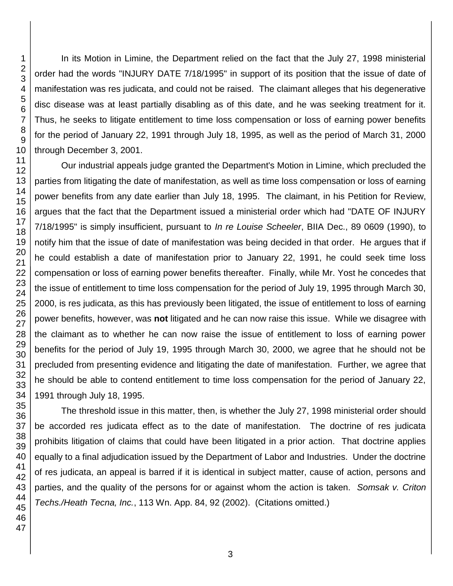In its Motion in Limine, the Department relied on the fact that the July 27, 1998 ministerial order had the words "INJURY DATE 7/18/1995" in support of its position that the issue of date of manifestation was res judicata, and could not be raised. The claimant alleges that his degenerative disc disease was at least partially disabling as of this date, and he was seeking treatment for it. Thus, he seeks to litigate entitlement to time loss compensation or loss of earning power benefits for the period of January 22, 1991 through July 18, 1995, as well as the period of March 31, 2000 through December 3, 2001.

Our industrial appeals judge granted the Department's Motion in Limine, which precluded the parties from litigating the date of manifestation, as well as time loss compensation or loss of earning power benefits from any date earlier than July 18, 1995. The claimant, in his Petition for Review, argues that the fact that the Department issued a ministerial order which had "DATE OF INJURY 7/18/1995" is simply insufficient, pursuant to *In re Louise Scheeler*, BIIA Dec., 89 0609 (1990), to notify him that the issue of date of manifestation was being decided in that order. He argues that if he could establish a date of manifestation prior to January 22, 1991, he could seek time loss compensation or loss of earning power benefits thereafter. Finally, while Mr. Yost he concedes that the issue of entitlement to time loss compensation for the period of July 19, 1995 through March 30, 2000, is res judicata, as this has previously been litigated, the issue of entitlement to loss of earning power benefits, however, was **not** litigated and he can now raise this issue. While we disagree with the claimant as to whether he can now raise the issue of entitlement to loss of earning power benefits for the period of July 19, 1995 through March 30, 2000, we agree that he should not be precluded from presenting evidence and litigating the date of manifestation. Further, we agree that he should be able to contend entitlement to time loss compensation for the period of January 22, 1991 through July 18, 1995.

The threshold issue in this matter, then, is whether the July 27, 1998 ministerial order should be accorded res judicata effect as to the date of manifestation. The doctrine of res judicata prohibits litigation of claims that could have been litigated in a prior action. That doctrine applies equally to a final adjudication issued by the Department of Labor and Industries. Under the doctrine of res judicata, an appeal is barred if it is identical in subject matter, cause of action, persons and parties, and the quality of the persons for or against whom the action is taken. *Somsak v. Criton Techs./Heath Tecna, Inc.*, 113 Wn. App. 84, 92 (2002). (Citations omitted.)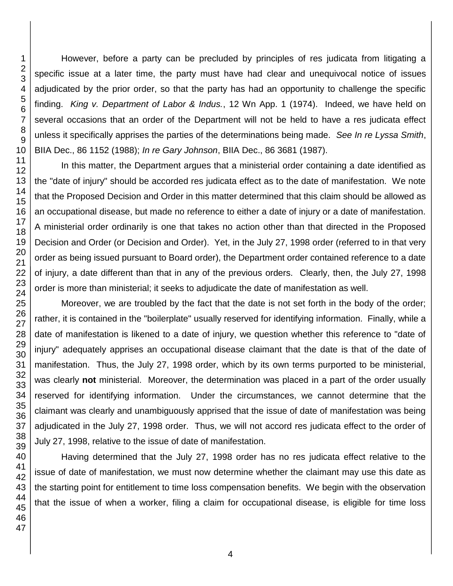However, before a party can be precluded by principles of res judicata from litigating a specific issue at a later time, the party must have had clear and unequivocal notice of issues adjudicated by the prior order, so that the party has had an opportunity to challenge the specific finding. *King v. Department of Labor & Indus.*, 12 Wn App. 1 (1974). Indeed, we have held on several occasions that an order of the Department will not be held to have a res judicata effect unless it specifically apprises the parties of the determinations being made. *See In re Lyssa Smith*, BIIA Dec., 86 1152 (1988); *In re Gary Johnson*, BIIA Dec., 86 3681 (1987).

In this matter, the Department argues that a ministerial order containing a date identified as the "date of injury" should be accorded res judicata effect as to the date of manifestation. We note that the Proposed Decision and Order in this matter determined that this claim should be allowed as an occupational disease, but made no reference to either a date of injury or a date of manifestation. A ministerial order ordinarily is one that takes no action other than that directed in the Proposed Decision and Order (or Decision and Order). Yet, in the July 27, 1998 order (referred to in that very order as being issued pursuant to Board order), the Department order contained reference to a date of injury, a date different than that in any of the previous orders. Clearly, then, the July 27, 1998 order is more than ministerial; it seeks to adjudicate the date of manifestation as well.

Moreover, we are troubled by the fact that the date is not set forth in the body of the order; rather, it is contained in the "boilerplate" usually reserved for identifying information. Finally, while a date of manifestation is likened to a date of injury, we question whether this reference to "date of injury" adequately apprises an occupational disease claimant that the date is that of the date of manifestation. Thus, the July 27, 1998 order, which by its own terms purported to be ministerial, was clearly **not** ministerial. Moreover, the determination was placed in a part of the order usually reserved for identifying information. Under the circumstances, we cannot determine that the claimant was clearly and unambiguously apprised that the issue of date of manifestation was being adjudicated in the July 27, 1998 order. Thus, we will not accord res judicata effect to the order of July 27, 1998, relative to the issue of date of manifestation.

Having determined that the July 27, 1998 order has no res judicata effect relative to the issue of date of manifestation, we must now determine whether the claimant may use this date as the starting point for entitlement to time loss compensation benefits. We begin with the observation that the issue of when a worker, filing a claim for occupational disease, is eligible for time loss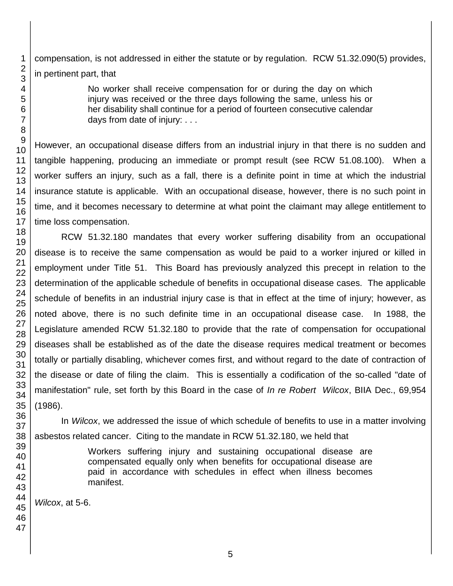compensation, is not addressed in either the statute or by regulation. RCW 51.32.090(5) provides, in pertinent part, that

> No worker shall receive compensation for or during the day on which injury was received or the three days following the same, unless his or her disability shall continue for a period of fourteen consecutive calendar days from date of injury: . . .

However, an occupational disease differs from an industrial injury in that there is no sudden and tangible happening, producing an immediate or prompt result (see RCW 51.08.100). When a worker suffers an injury, such as a fall, there is a definite point in time at which the industrial insurance statute is applicable. With an occupational disease, however, there is no such point in time, and it becomes necessary to determine at what point the claimant may allege entitlement to time loss compensation.

RCW 51.32.180 mandates that every worker suffering disability from an occupational disease is to receive the same compensation as would be paid to a worker injured or killed in employment under Title 51. This Board has previously analyzed this precept in relation to the determination of the applicable schedule of benefits in occupational disease cases. The applicable schedule of benefits in an industrial injury case is that in effect at the time of injury; however, as noted above, there is no such definite time in an occupational disease case. In 1988, the Legislature amended RCW 51.32.180 to provide that the rate of compensation for occupational diseases shall be established as of the date the disease requires medical treatment or becomes totally or partially disabling, whichever comes first, and without regard to the date of contraction of the disease or date of filing the claim. This is essentially a codification of the so-called "date of manifestation" rule, set forth by this Board in the case of *In re Robert Wilcox*, BIIA Dec., 69,954 (1986).

In *Wilcox*, we addressed the issue of which schedule of benefits to use in a matter involving asbestos related cancer. Citing to the mandate in RCW 51.32.180, we held that

> Workers suffering injury and sustaining occupational disease are compensated equally only when benefits for occupational disease are paid in accordance with schedules in effect when illness becomes manifest.

*Wilcox*, at 5-6.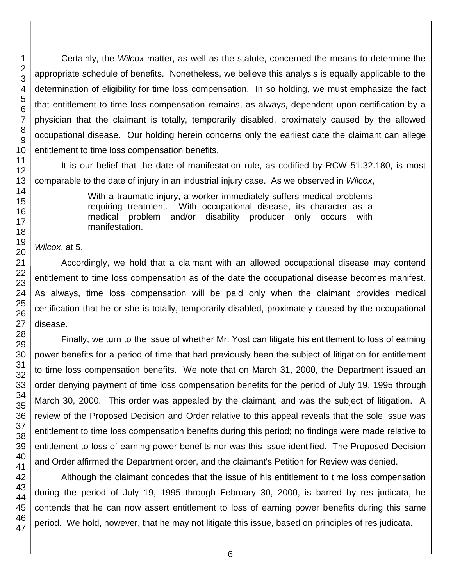Certainly, the *Wilcox* matter, as well as the statute, concerned the means to determine the appropriate schedule of benefits. Nonetheless, we believe this analysis is equally applicable to the determination of eligibility for time loss compensation. In so holding, we must emphasize the fact that entitlement to time loss compensation remains, as always, dependent upon certification by a physician that the claimant is totally, temporarily disabled, proximately caused by the allowed occupational disease. Our holding herein concerns only the earliest date the claimant can allege entitlement to time loss compensation benefits.

It is our belief that the date of manifestation rule, as codified by RCW 51.32.180, is most comparable to the date of injury in an industrial injury case. As we observed in *Wilcox*,

> With a traumatic injury, a worker immediately suffers medical problems requiring treatment. With occupational disease, its character as a medical problem and/or disability producer only occurs with manifestation.

*Wilcox*, at 5.

Accordingly, we hold that a claimant with an allowed occupational disease may contend entitlement to time loss compensation as of the date the occupational disease becomes manifest. As always, time loss compensation will be paid only when the claimant provides medical certification that he or she is totally, temporarily disabled, proximately caused by the occupational disease.

Finally, we turn to the issue of whether Mr. Yost can litigate his entitlement to loss of earning power benefits for a period of time that had previously been the subject of litigation for entitlement to time loss compensation benefits. We note that on March 31, 2000, the Department issued an order denying payment of time loss compensation benefits for the period of July 19, 1995 through March 30, 2000. This order was appealed by the claimant, and was the subject of litigation. A review of the Proposed Decision and Order relative to this appeal reveals that the sole issue was entitlement to time loss compensation benefits during this period; no findings were made relative to entitlement to loss of earning power benefits nor was this issue identified. The Proposed Decision and Order affirmed the Department order, and the claimant's Petition for Review was denied.

Although the claimant concedes that the issue of his entitlement to time loss compensation during the period of July 19, 1995 through February 30, 2000, is barred by res judicata, he contends that he can now assert entitlement to loss of earning power benefits during this same period. We hold, however, that he may not litigate this issue, based on principles of res judicata.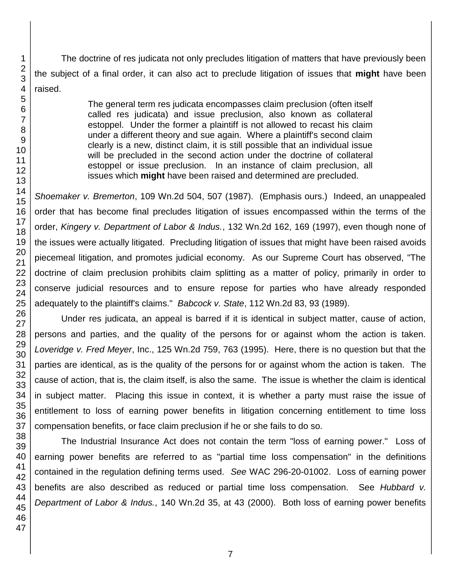The doctrine of res judicata not only precludes litigation of matters that have previously been the subject of a final order, it can also act to preclude litigation of issues that **might** have been raised.

> The general term res judicata encompasses claim preclusion (often itself called res judicata) and issue preclusion, also known as collateral estoppel. Under the former a plaintiff is not allowed to recast his claim under a different theory and sue again. Where a plaintiff's second claim clearly is a new, distinct claim, it is still possible that an individual issue will be precluded in the second action under the doctrine of collateral estoppel or issue preclusion. In an instance of claim preclusion, all issues which **might** have been raised and determined are precluded.

*Shoemaker v. Bremerton*, 109 Wn.2d 504, 507 (1987). (Emphasis ours.) Indeed, an unappealed order that has become final precludes litigation of issues encompassed within the terms of the order, *Kingery v. Department of Labor & Indus.*, 132 Wn.2d 162, 169 (1997), even though none of the issues were actually litigated. Precluding litigation of issues that might have been raised avoids piecemeal litigation, and promotes judicial economy. As our Supreme Court has observed, "The doctrine of claim preclusion prohibits claim splitting as a matter of policy, primarily in order to conserve judicial resources and to ensure repose for parties who have already responded adequately to the plaintiff's claims." *Babcock v. State*, 112 Wn.2d 83, 93 (1989).

Under res judicata, an appeal is barred if it is identical in subject matter, cause of action, persons and parties, and the quality of the persons for or against whom the action is taken. *Loveridge v. Fred Meyer*, Inc., 125 Wn.2d 759, 763 (1995). Here, there is no question but that the parties are identical, as is the quality of the persons for or against whom the action is taken. The cause of action, that is, the claim itself, is also the same. The issue is whether the claim is identical in subject matter. Placing this issue in context, it is whether a party must raise the issue of entitlement to loss of earning power benefits in litigation concerning entitlement to time loss compensation benefits, or face claim preclusion if he or she fails to do so.

The Industrial Insurance Act does not contain the term "loss of earning power." Loss of earning power benefits are referred to as "partial time loss compensation" in the definitions contained in the regulation defining terms used. *See* WAC 296-20-01002. Loss of earning power benefits are also described as reduced or partial time loss compensation. See *Hubbard v. Department of Labor & Indus.*, 140 Wn.2d 35, at 43 (2000). Both loss of earning power benefits

1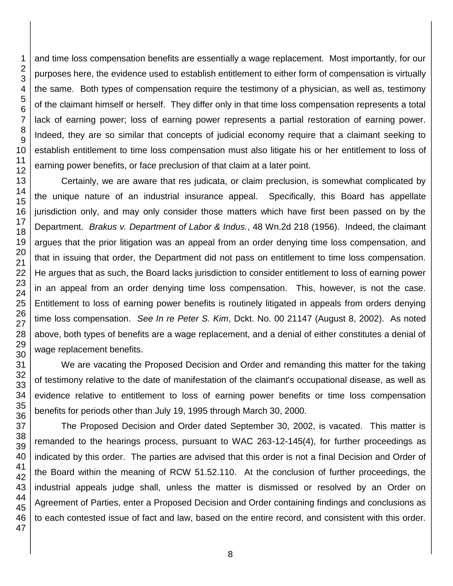and time loss compensation benefits are essentially a wage replacement. Most importantly, for our purposes here, the evidence used to establish entitlement to either form of compensation is virtually the same. Both types of compensation require the testimony of a physician, as well as, testimony of the claimant himself or herself. They differ only in that time loss compensation represents a total lack of earning power; loss of earning power represents a partial restoration of earning power. Indeed, they are so similar that concepts of judicial economy require that a claimant seeking to establish entitlement to time loss compensation must also litigate his or her entitlement to loss of earning power benefits, or face preclusion of that claim at a later point.

Certainly, we are aware that res judicata, or claim preclusion, is somewhat complicated by the unique nature of an industrial insurance appeal. Specifically, this Board has appellate jurisdiction only, and may only consider those matters which have first been passed on by the Department. *Brakus v. Department of Labor & Indus.*, 48 Wn.2d 218 (1956). Indeed, the claimant argues that the prior litigation was an appeal from an order denying time loss compensation, and that in issuing that order, the Department did not pass on entitlement to time loss compensation. He argues that as such, the Board lacks jurisdiction to consider entitlement to loss of earning power in an appeal from an order denying time loss compensation. This, however, is not the case. Entitlement to loss of earning power benefits is routinely litigated in appeals from orders denying time loss compensation. *See In re Peter S. Kim*, Dckt. No. 00 21147 (August 8, 2002). As noted above, both types of benefits are a wage replacement, and a denial of either constitutes a denial of wage replacement benefits.

We are vacating the Proposed Decision and Order and remanding this matter for the taking of testimony relative to the date of manifestation of the claimant's occupational disease, as well as evidence relative to entitlement to loss of earning power benefits or time loss compensation benefits for periods other than July 19, 1995 through March 30, 2000.

The Proposed Decision and Order dated September 30, 2002, is vacated. This matter is remanded to the hearings process, pursuant to WAC 263-12-145(4), for further proceedings as indicated by this order. The parties are advised that this order is not a final Decision and Order of the Board within the meaning of RCW 51.52.110. At the conclusion of further proceedings, the industrial appeals judge shall, unless the matter is dismissed or resolved by an Order on Agreement of Parties, enter a Proposed Decision and Order containing findings and conclusions as to each contested issue of fact and law, based on the entire record, and consistent with this order.